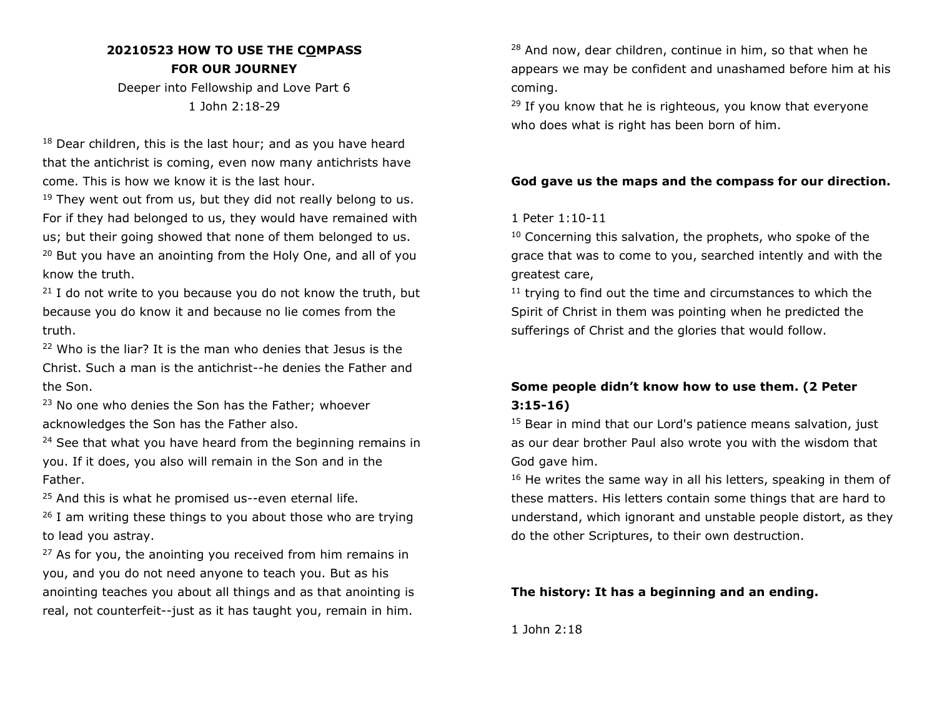# **20210523 HOW TO USE THE COMPASS FOR OUR JOURNEY**

Deeper into Fellowship and Love Part 6 1 John 2:18-29

 $18$  Dear children, this is the last hour; and as you have heard that the antichrist is coming, even now many antichrists have come. This is how we know it is the last hour.

 $19$  They went out from us, but they did not really belong to us. For if they had belonged to us, they would have remained with us; but their going showed that none of them belonged to us. <sup>20</sup> But you have an anointing from the Holy One, and all of you know the truth.

 $21$  I do not write to you because you do not know the truth, but because you do know it and because no lie comes from the truth.

<sup>22</sup> Who is the liar? It is the man who denies that Jesus is the Christ. Such a man is the antichrist--he denies the Father and the Son.

<sup>23</sup> No one who denies the Son has the Father; whoever acknowledges the Son has the Father also.

<sup>24</sup> See that what you have heard from the beginning remains in you. If it does, you also will remain in the Son and in the Father.

 $25$  And this is what he promised us--even eternal life.

 $26$  I am writing these things to you about those who are trying to lead you astray.

 $27$  As for you, the anointing you received from him remains in you, and you do not need anyone to teach you. But as his anointing teaches you about all things and as that anointing is real, not counterfeit--just as it has taught you, remain in him. <sup>28</sup> And now, dear children, continue in him, so that when he appears we may be confident and unashamed before him at his coming.

 $29$  If you know that he is righteous, you know that everyone who does what is right has been born of him.

## **God gave us the maps and the compass for our direction.**

## 1 Peter 1:10-11

 $10$  Concerning this salvation, the prophets, who spoke of the grace that was to come to you, searched intently and with the greatest care,

<sup>11</sup> trying to find out the time and circumstances to which the Spirit of Christ in them was pointing when he predicted the sufferings of Christ and the glories that would follow.

# **Some people didn't know how to use them. (2 Peter 3:15-16)**

<sup>15</sup> Bear in mind that our Lord's patience means salvation, just as our dear brother Paul also wrote you with the wisdom that God gave him.

 $16$  He writes the same way in all his letters, speaking in them of these matters. His letters contain some things that are hard to understand, which ignorant and unstable people distort, as they do the other Scriptures, to their own destruction.

## **The history: It has a beginning and an ending.**

1 John 2:18